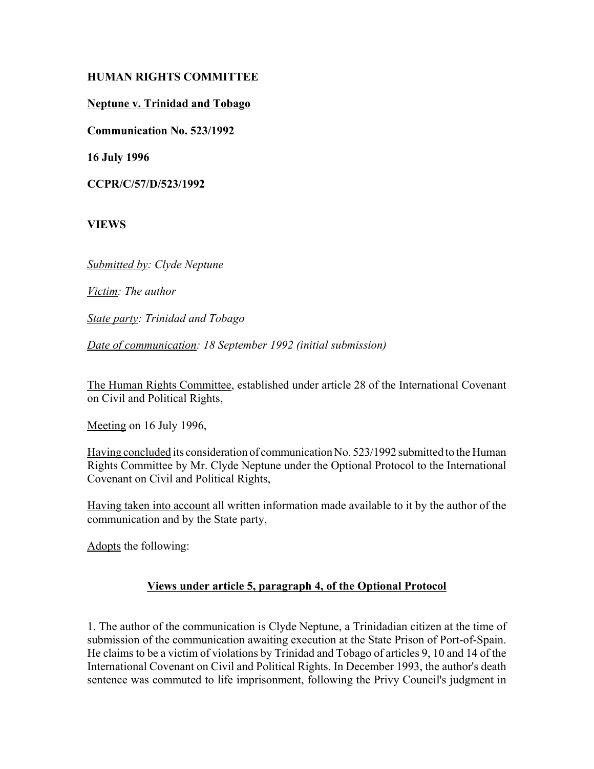# **HUMAN RIGHTS COMMITTEE**

# **Neptune v. Trinidad and Tobago**

**Communication No. 523/1992**

**16 July 1996**

**CCPR/C/57/D/523/1992**

**VIEWS**

*Submitted by: Clyde Neptune* 

*Victim: The author* 

*State party: Trinidad and Tobago* 

*Date of communication: 18 September 1992 (initial submission)*

The Human Rights Committee, established under article 28 of the International Covenant on Civil and Political Rights,

Meeting on 16 July 1996,

Having concluded its consideration of communication No. 523/1992 submitted to the Human Rights Committee by Mr. Clyde Neptune under the Optional Protocol to the International Covenant on Civil and Political Rights,

Having taken into account all written information made available to it by the author of the communication and by the State party,

Adopts the following:

# **Views under article 5, paragraph 4, of the Optional Protocol**

1. The author of the communication is Clyde Neptune, a Trinidadian citizen at the time of submission of the communication awaiting execution at the State Prison of Port-of-Spain. He claims to be a victim of violations by Trinidad and Tobago of articles 9, 10 and 14 of the International Covenant on Civil and Political Rights. In December 1993, the author's death sentence was commuted to life imprisonment, following the Privy Council's judgment in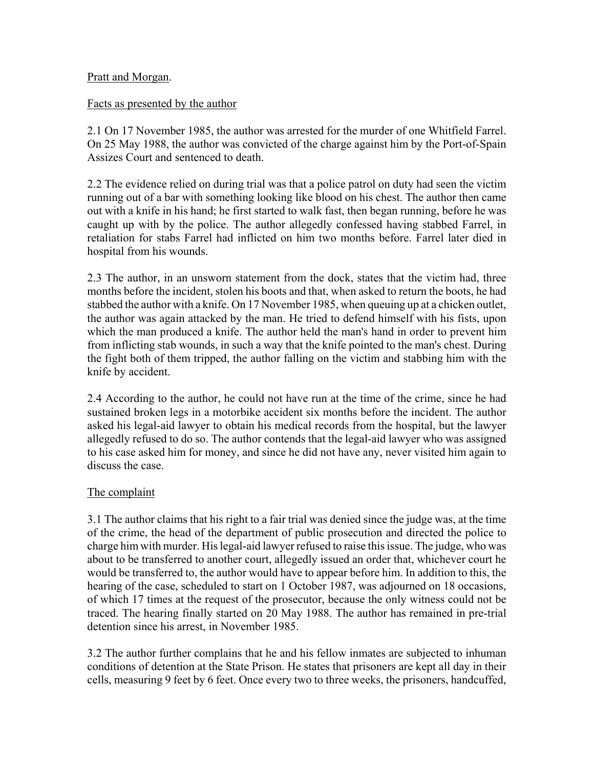## Pratt and Morgan.

## Facts as presented by the author

2.1 On 17 November 1985, the author was arrested for the murder of one Whitfield Farrel. On 25 May 1988, the author was convicted of the charge against him by the Port-of-Spain Assizes Court and sentenced to death.

2.2 The evidence relied on during trial was that a police patrol on duty had seen the victim running out of a bar with something looking like blood on his chest. The author then came out with a knife in his hand; he first started to walk fast, then began running, before he was caught up with by the police. The author allegedly confessed having stabbed Farrel, in retaliation for stabs Farrel had inflicted on him two months before. Farrel later died in hospital from his wounds.

2.3 The author, in an unsworn statement from the dock, states that the victim had, three months before the incident, stolen his boots and that, when asked to return the boots, he had stabbed the author with a knife. On 17 November 1985, when queuing up at a chicken outlet, the author was again attacked by the man. He tried to defend himself with his fists, upon which the man produced a knife. The author held the man's hand in order to prevent him from inflicting stab wounds, in such a way that the knife pointed to the man's chest. During the fight both of them tripped, the author falling on the victim and stabbing him with the knife by accident.

2.4 According to the author, he could not have run at the time of the crime, since he had sustained broken legs in a motorbike accident six months before the incident. The author asked his legal-aid lawyer to obtain his medical records from the hospital, but the lawyer allegedly refused to do so. The author contends that the legal-aid lawyer who was assigned to his case asked him for money, and since he did not have any, never visited him again to discuss the case.

### The complaint

3.1 The author claims that his right to a fair trial was denied since the judge was, at the time of the crime, the head of the department of public prosecution and directed the police to charge him with murder. His legal-aid lawyer refused to raise this issue. The judge, who was about to be transferred to another court, allegedly issued an order that, whichever court he would be transferred to, the author would have to appear before him. In addition to this, the hearing of the case, scheduled to start on 1 October 1987, was adjourned on 18 occasions, of which 17 times at the request of the prosecutor, because the only witness could not be traced. The hearing finally started on 20 May 1988. The author has remained in pre-trial detention since his arrest, in November 1985.

3.2 The author further complains that he and his fellow inmates are subjected to inhuman conditions of detention at the State Prison. He states that prisoners are kept all day in their cells, measuring 9 feet by 6 feet. Once every two to three weeks, the prisoners, handcuffed,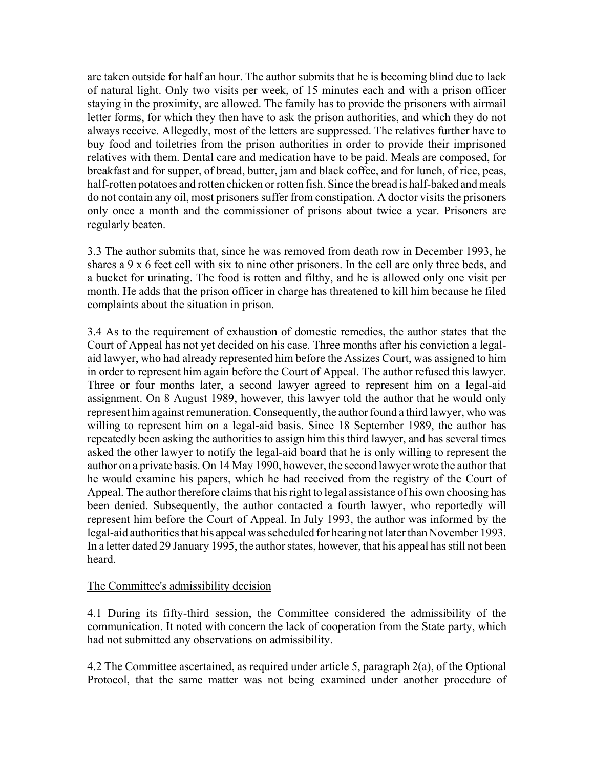are taken outside for half an hour. The author submits that he is becoming blind due to lack of natural light. Only two visits per week, of 15 minutes each and with a prison officer staying in the proximity, are allowed. The family has to provide the prisoners with airmail letter forms, for which they then have to ask the prison authorities, and which they do not always receive. Allegedly, most of the letters are suppressed. The relatives further have to buy food and toiletries from the prison authorities in order to provide their imprisoned relatives with them. Dental care and medication have to be paid. Meals are composed, for breakfast and for supper, of bread, butter, jam and black coffee, and for lunch, of rice, peas, half-rotten potatoes and rotten chicken or rotten fish. Since the bread is half-baked and meals do not contain any oil, most prisoners suffer from constipation. A doctor visits the prisoners only once a month and the commissioner of prisons about twice a year. Prisoners are regularly beaten.

3.3 The author submits that, since he was removed from death row in December 1993, he shares a 9 x 6 feet cell with six to nine other prisoners. In the cell are only three beds, and a bucket for urinating. The food is rotten and filthy, and he is allowed only one visit per month. He adds that the prison officer in charge has threatened to kill him because he filed complaints about the situation in prison.

3.4 As to the requirement of exhaustion of domestic remedies, the author states that the Court of Appeal has not yet decided on his case. Three months after his conviction a legalaid lawyer, who had already represented him before the Assizes Court, was assigned to him in order to represent him again before the Court of Appeal. The author refused this lawyer. Three or four months later, a second lawyer agreed to represent him on a legal-aid assignment. On 8 August 1989, however, this lawyer told the author that he would only represent him against remuneration. Consequently, the author found a third lawyer, who was willing to represent him on a legal-aid basis. Since 18 September 1989, the author has repeatedly been asking the authorities to assign him this third lawyer, and has several times asked the other lawyer to notify the legal-aid board that he is only willing to represent the author on a private basis. On 14 May 1990, however, the second lawyer wrote the author that he would examine his papers, which he had received from the registry of the Court of Appeal. The author therefore claims that his right to legal assistance of his own choosing has been denied. Subsequently, the author contacted a fourth lawyer, who reportedly will represent him before the Court of Appeal. In July 1993, the author was informed by the legal-aid authorities that his appeal was scheduled for hearing not later than November 1993. In a letter dated 29 January 1995, the author states, however, that his appeal has still not been heard.

### The Committee's admissibility decision

4.1 During its fifty-third session, the Committee considered the admissibility of the communication. It noted with concern the lack of cooperation from the State party, which had not submitted any observations on admissibility.

4.2 The Committee ascertained, as required under article 5, paragraph 2(a), of the Optional Protocol, that the same matter was not being examined under another procedure of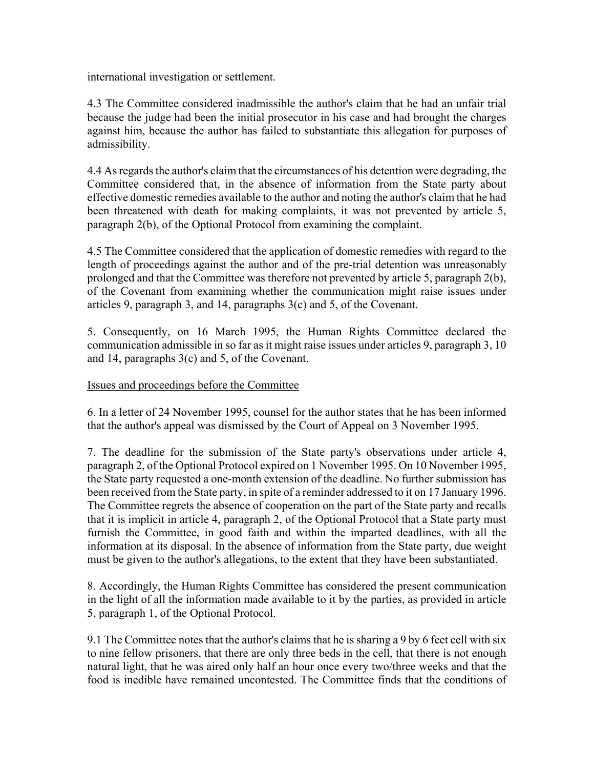international investigation or settlement.

4.3 The Committee considered inadmissible the author's claim that he had an unfair trial because the judge had been the initial prosecutor in his case and had brought the charges against him, because the author has failed to substantiate this allegation for purposes of admissibility.

4.4 As regards the author's claim that the circumstances of his detention were degrading, the Committee considered that, in the absence of information from the State party about effective domestic remedies available to the author and noting the author's claim that he had been threatened with death for making complaints, it was not prevented by article 5, paragraph 2(b), of the Optional Protocol from examining the complaint.

4.5 The Committee considered that the application of domestic remedies with regard to the length of proceedings against the author and of the pre-trial detention was unreasonably prolonged and that the Committee was therefore not prevented by article 5, paragraph 2(b), of the Covenant from examining whether the communication might raise issues under articles 9, paragraph 3, and 14, paragraphs 3(c) and 5, of the Covenant.

5. Consequently, on 16 March 1995, the Human Rights Committee declared the communication admissible in so far as it might raise issues under articles 9, paragraph 3, 10 and 14, paragraphs 3(c) and 5, of the Covenant.

### Issues and proceedings before the Committee

6. In a letter of 24 November 1995, counsel for the author states that he has been informed that the author's appeal was dismissed by the Court of Appeal on 3 November 1995.

7. The deadline for the submission of the State party's observations under article 4, paragraph 2, of the Optional Protocol expired on 1 November 1995. On 10 November 1995, the State party requested a one-month extension of the deadline. No further submission has been received from the State party, in spite of a reminder addressed to it on 17 January 1996. The Committee regrets the absence of cooperation on the part of the State party and recalls that it is implicit in article 4, paragraph 2, of the Optional Protocol that a State party must furnish the Committee, in good faith and within the imparted deadlines, with all the information at its disposal. In the absence of information from the State party, due weight must be given to the author's allegations, to the extent that they have been substantiated.

8. Accordingly, the Human Rights Committee has considered the present communication in the light of all the information made available to it by the parties, as provided in article 5, paragraph 1, of the Optional Protocol.

9.1 The Committee notes that the author's claims that he is sharing a 9 by 6 feet cell with six to nine fellow prisoners, that there are only three beds in the cell, that there is not enough natural light, that he was aired only half an hour once every two/three weeks and that the food is inedible have remained uncontested. The Committee finds that the conditions of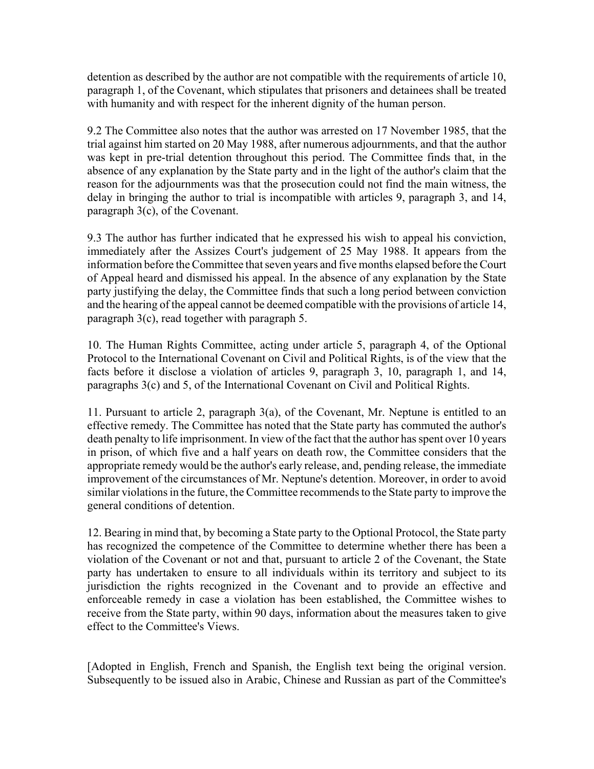detention as described by the author are not compatible with the requirements of article 10, paragraph 1, of the Covenant, which stipulates that prisoners and detainees shall be treated with humanity and with respect for the inherent dignity of the human person.

9.2 The Committee also notes that the author was arrested on 17 November 1985, that the trial against him started on 20 May 1988, after numerous adjournments, and that the author was kept in pre-trial detention throughout this period. The Committee finds that, in the absence of any explanation by the State party and in the light of the author's claim that the reason for the adjournments was that the prosecution could not find the main witness, the delay in bringing the author to trial is incompatible with articles 9, paragraph 3, and 14, paragraph 3(c), of the Covenant.

9.3 The author has further indicated that he expressed his wish to appeal his conviction, immediately after the Assizes Court's judgement of 25 May 1988. It appears from the information before the Committee that seven years and five months elapsed before the Court of Appeal heard and dismissed his appeal. In the absence of any explanation by the State party justifying the delay, the Committee finds that such a long period between conviction and the hearing of the appeal cannot be deemed compatible with the provisions of article 14, paragraph 3(c), read together with paragraph 5.

10. The Human Rights Committee, acting under article 5, paragraph 4, of the Optional Protocol to the International Covenant on Civil and Political Rights, is of the view that the facts before it disclose a violation of articles 9, paragraph 3, 10, paragraph 1, and 14, paragraphs 3(c) and 5, of the International Covenant on Civil and Political Rights.

11. Pursuant to article 2, paragraph 3(a), of the Covenant, Mr. Neptune is entitled to an effective remedy. The Committee has noted that the State party has commuted the author's death penalty to life imprisonment. In view of the fact that the author has spent over 10 years in prison, of which five and a half years on death row, the Committee considers that the appropriate remedy would be the author's early release, and, pending release, the immediate improvement of the circumstances of Mr. Neptune's detention. Moreover, in order to avoid similar violations in the future, the Committee recommends to the State party to improve the general conditions of detention.

12. Bearing in mind that, by becoming a State party to the Optional Protocol, the State party has recognized the competence of the Committee to determine whether there has been a violation of the Covenant or not and that, pursuant to article 2 of the Covenant, the State party has undertaken to ensure to all individuals within its territory and subject to its jurisdiction the rights recognized in the Covenant and to provide an effective and enforceable remedy in case a violation has been established, the Committee wishes to receive from the State party, within 90 days, information about the measures taken to give effect to the Committee's Views.

[Adopted in English, French and Spanish, the English text being the original version. Subsequently to be issued also in Arabic, Chinese and Russian as part of the Committee's